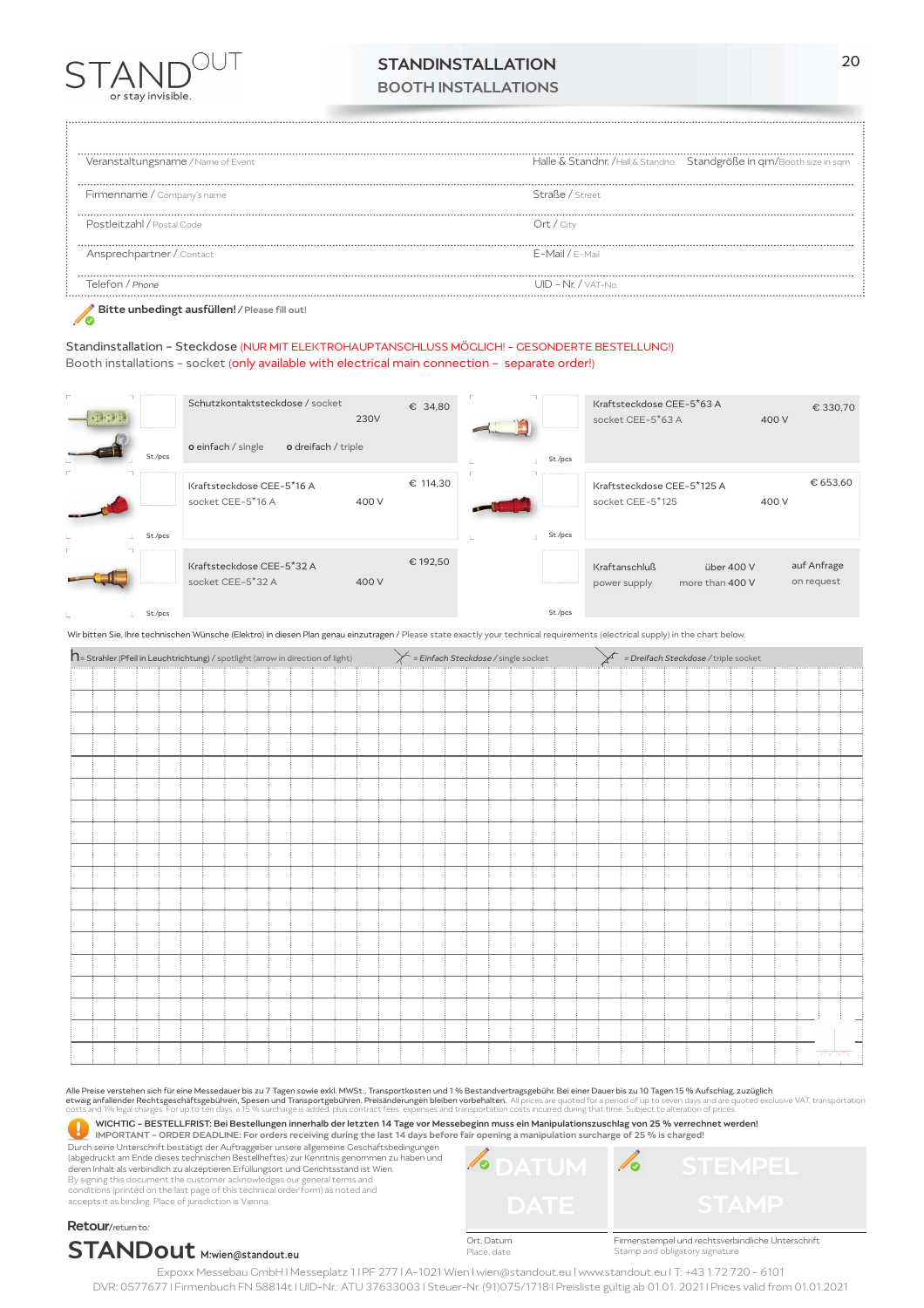

## STANDINSTALLATION BOOTH INSTALLATIONS

Veranstaltungsname */* Name of Event Halle & Standnr. /Hall & Standno. Standgröße in qm/Booth size in sqm Firmenname / Company's name Straße / Street Postleitzahl / Postal Code Ort / City Ansprechpartner / Contact E-Mail / E−Mail Telefon / *Phone* UID - Nr. / VAT-No.

Bitte unbedingt ausfüllen! */* Please fill out!  $\mathscr{N}$ 

Standinstallation - Steckdose (NUR MIT ELEKTROHAUPTANSCHLUSS MÖGLICH! - GESONDERTE BESTELLUNG!) Booth installations - socket (only available with electrical main connection - separate order!)

|                         |             | Schutzkontaktsteckdose / socket                | 230V  | € 34,80  |           | Kraftsteckdose CEE-5*63 A<br>socket CEE-5*63 A                 | 400 V | € 330,70                  |
|-------------------------|-------------|------------------------------------------------|-------|----------|-----------|----------------------------------------------------------------|-------|---------------------------|
|                         | St./pcs     | o dreifach / triple<br>o einfach / single      |       |          | St./pcs   |                                                                |       |                           |
|                         |             | Kraftsteckdose CEE-5*16 A<br>socket CEE-5*16 A | 400 V | € 114,30 |           | Kraftsteckdose CEE-5*125 A<br>socket CEE-5*125                 | 400 V | € 653,60                  |
| L.                      | St./pcs     |                                                |       |          | St./pcs   |                                                                |       |                           |
|                         |             | Kraftsteckdose CEE-5*32 A<br>socket CEE-5*32 A | 400 V | € 192,50 |           | Kraftanschluß<br>über 400 V<br>more than 400 V<br>power supply |       | auf Anfrage<br>on request |
| the control of the con- | $St$ $Ince$ |                                                |       |          | $St$ /nes |                                                                |       |                           |

St./pcs

Wir bitten Sie, Ihre technischen Wünsche (Elektro) in diesen Plan genau einzutragen / Please state exactly your technical requirements (electrical supply) in the chart below.

| $\mathsf{\Lambda}\text{=}$ Strahler (Pfeil in Leuchtrichtung) / spotlight (arrow in direction of light) | = Einfach Steckdose / single socket | = Dreifach Steckdose / triple socket |  |  |  |
|---------------------------------------------------------------------------------------------------------|-------------------------------------|--------------------------------------|--|--|--|
|                                                                                                         |                                     |                                      |  |  |  |
|                                                                                                         |                                     |                                      |  |  |  |
|                                                                                                         |                                     |                                      |  |  |  |
|                                                                                                         |                                     |                                      |  |  |  |
|                                                                                                         |                                     |                                      |  |  |  |
|                                                                                                         |                                     |                                      |  |  |  |
|                                                                                                         |                                     |                                      |  |  |  |
|                                                                                                         |                                     |                                      |  |  |  |
|                                                                                                         |                                     |                                      |  |  |  |
|                                                                                                         |                                     |                                      |  |  |  |
|                                                                                                         |                                     |                                      |  |  |  |
|                                                                                                         |                                     |                                      |  |  |  |
|                                                                                                         |                                     |                                      |  |  |  |
|                                                                                                         |                                     |                                      |  |  |  |
|                                                                                                         |                                     |                                      |  |  |  |
|                                                                                                         |                                     |                                      |  |  |  |
|                                                                                                         |                                     |                                      |  |  |  |
|                                                                                                         |                                     | <u>_ UQU - </u>                      |  |  |  |
|                                                                                                         |                                     |                                      |  |  |  |

All<mark>e Preise verstehen sich für eine Messedauer bis zu 7 Tagen sowie exkl. MWSt., Transportkosten und 1 % Bestandvertragsgebühr. Bei einer Dauer bis zu 10 Tagen 15 % Aufschlag, zuzüglich<br>etwaig anfallender Rechtsgeschäftsg</mark>

WICHTIG - BESTELLFRIST: Bei Bestellungen innerhalb der letzten 14 Tage vor Messebeginn muss ein Manipulationszuschlag von 25 % verrechnet werden! Q

IMPORTANT - ORDER DEADLINE: For orders receiving during the last 14 days before fair opening a manipulation surcharge of 25 % is charged! Durch seine Unterschrift bestätigt der Auftraggeber unsere allgemeine Geschäftsbedingungen (abgedruckt am Ende dieses technischen Bestellheftes) zur Kenntnis genommen zu haben und deren Inhalt als verbindlich zu akzeptieren.Erfüllungsort und Gerichtsstand ist Wien.

By signing this document the customer acknowledges our general terms and<br>conditions (printed on the last page of this technical order form) as noted and<br>accepts it as binding. Place of jurisdiction is Vienna.



Firmenstempel und rechtsverbindliche Unterschrift Stamp and obligatory signature

Retour/return to: STANDout M:wien@standout.eu

Ort, Datum Place, date

Expoxx Messebau GmbH I Messeplatz 1 I PF 277 I A-1021 Wien I wien@standout.eu I www.standout.eu I T: +43 1 72 720 - 6101 DVR: 0577677 I Firmenbuch FN 58814t I UID-Nr.: ATU 37633003 I Steuer-Nr. (91)075/1718 I Preisliste gültig ab 01.01. 2021 I Prices valid from 01.01.2021